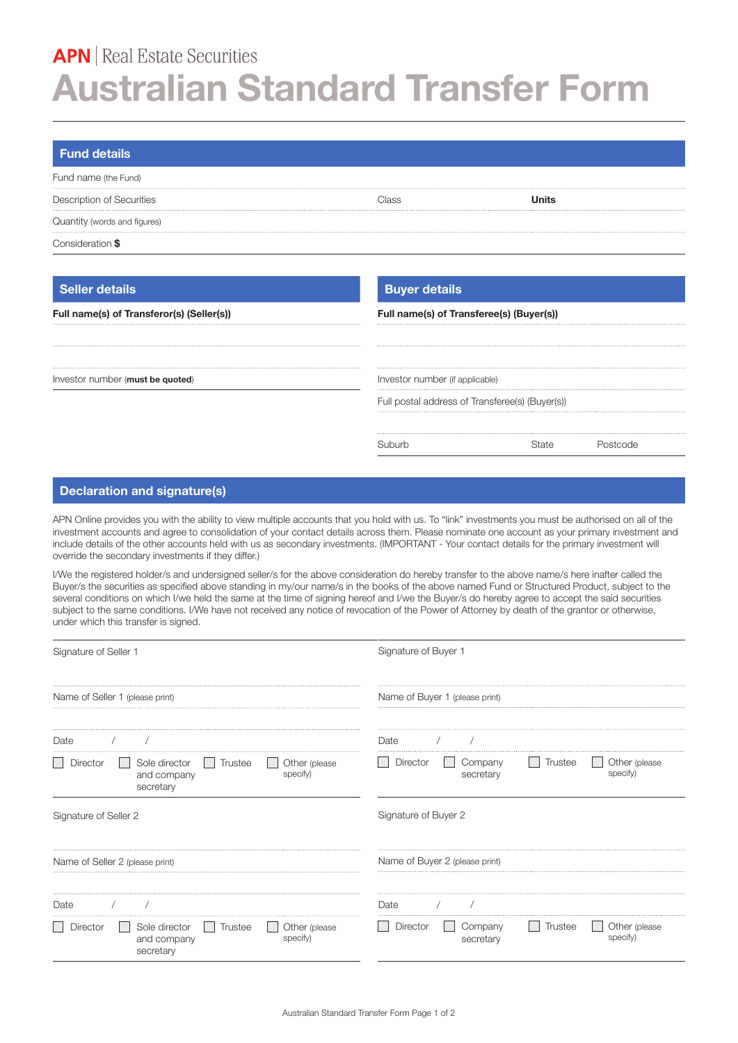# **APN** | Real Estate Securities **Australian Standard Transfer Form**

| <b>Fund details</b>          |       |       |  |
|------------------------------|-------|-------|--|
| Fund name (the Fund)         |       |       |  |
| Description of Securities    | `lacc | Inite |  |
| Quantity (words and figures) |       |       |  |
| Consideration \$             |       |       |  |

# **Seller details Buyer details Buyer details**

| Full name(s) of Transferor(s) (Seller(s)) | Full name(s) of Transferee(s) (Buyer(s))        |  |  |
|-------------------------------------------|-------------------------------------------------|--|--|
|                                           |                                                 |  |  |
| Investor number (must be quoted)          | Investor number (if applicable)                 |  |  |
|                                           | Full postal address of Transferee(s) (Buyer(s)) |  |  |
|                                           |                                                 |  |  |
|                                           |                                                 |  |  |

# **Declaration and signature(s)**

APN Online provides you with the ability to view multiple accounts that you hold with us. To "link" investments you must be authorised on all of the investment accounts and agree to consolidation of your contact details across them. Please nominate one account as your primary investment and include details of the other accounts held with us as secondary investments. (IMPORTANT - Your contact details for the primary investment will override the secondary investments if they differ.)

I/We the registered holder/s and undersigned seller/s for the above consideration do hereby transfer to the above name/s here inafter called the Buyer/s the securities as specified above standing in my/our name/s in the books of the above named Fund or Structured Product, subject to the several conditions on which I/we held the same at the time of signing hereof and I/we the Buyer/s do hereby agree to accept the said securities subject to the same conditions. I/We have not received any notice of revocation of the Power of Attorney by death of the grantor or otherwise, under which this transfer is signed.

| Signature of Seller 1                                                                                                | Signature of Buyer 1                                                                     |
|----------------------------------------------------------------------------------------------------------------------|------------------------------------------------------------------------------------------|
| Name of Seller 1 (please print)                                                                                      | Name of Buyer 1 (please print)                                                           |
| Date                                                                                                                 | Date                                                                                     |
| Director<br>Sole director<br>Trustee<br>Other (please)<br>specify)<br>and company<br>secretary                       | Director<br>Trustee<br>Company<br>Other (please<br>$\mathbf{I}$<br>specify)<br>secretary |
| Signature of Seller 2                                                                                                | Signature of Buyer 2                                                                     |
| Name of Seller 2 (please print)                                                                                      | Name of Buyer 2 (please print)                                                           |
| Date                                                                                                                 | Date                                                                                     |
| Sole director<br>Trustee<br><b>Director</b><br>Other (please<br>$\mathbb{R}$<br>specify)<br>and company<br>secretary | Trustee<br>Director<br>Company<br>Other (please<br>$\Box$<br>secretary<br>specify)       |